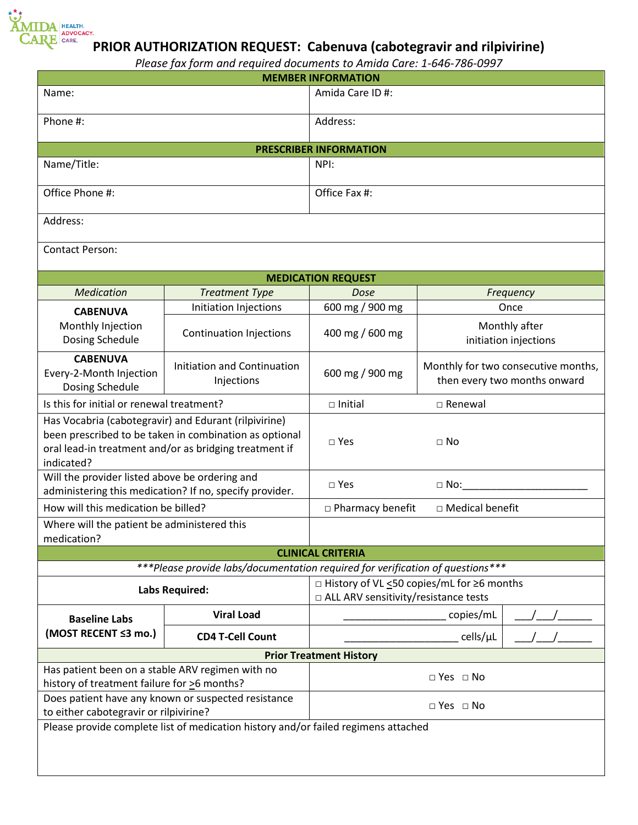

## **PRIOR AUTHORIZATION REQUEST: Cabenuva (cabotegravir and rilpivirine)**

*Please fax form and required documents to Amida Care: 1-646-786-0997*

| <b>MEMBER INFORMATION</b>                                                                                                                                                               |                                                  |                                                                                       |                                                                     |  |
|-----------------------------------------------------------------------------------------------------------------------------------------------------------------------------------------|--------------------------------------------------|---------------------------------------------------------------------------------------|---------------------------------------------------------------------|--|
| Name:                                                                                                                                                                                   |                                                  | Amida Care ID#:                                                                       |                                                                     |  |
| Phone #:                                                                                                                                                                                |                                                  | Address:                                                                              |                                                                     |  |
| <b>PRESCRIBER INFORMATION</b>                                                                                                                                                           |                                                  |                                                                                       |                                                                     |  |
| Name/Title:                                                                                                                                                                             |                                                  | NPI:                                                                                  |                                                                     |  |
| Office Phone #:                                                                                                                                                                         |                                                  | Office Fax #:                                                                         |                                                                     |  |
| Address:                                                                                                                                                                                |                                                  |                                                                                       |                                                                     |  |
| <b>Contact Person:</b>                                                                                                                                                                  |                                                  |                                                                                       |                                                                     |  |
| <b>MEDICATION REQUEST</b>                                                                                                                                                               |                                                  |                                                                                       |                                                                     |  |
| <b>Medication</b>                                                                                                                                                                       | <b>Treatment Type</b>                            | Dose                                                                                  | Frequency                                                           |  |
| <b>CABENUVA</b>                                                                                                                                                                         | Initiation Injections                            | 600 mg / 900 mg                                                                       | Once                                                                |  |
| Monthly Injection<br>Dosing Schedule                                                                                                                                                    | <b>Continuation Injections</b>                   | 400 mg / 600 mg                                                                       | Monthly after<br>initiation injections                              |  |
| <b>CABENUVA</b><br>Every-2-Month Injection<br>Dosing Schedule                                                                                                                           | <b>Initiation and Continuation</b><br>Injections | 600 mg / 900 mg                                                                       | Monthly for two consecutive months,<br>then every two months onward |  |
| Is this for initial or renewal treatment?                                                                                                                                               |                                                  | $\square$ Initial                                                                     | □ Renewal                                                           |  |
| Has Vocabria (cabotegravir) and Edurant (rilpivirine)<br>been prescribed to be taken in combination as optional<br>oral lead-in treatment and/or as bridging treatment if<br>indicated? |                                                  | $\square$ Yes                                                                         | $\Box$ No                                                           |  |
| Will the provider listed above be ordering and<br>administering this medication? If no, specify provider.                                                                               |                                                  | $\square$ Yes<br>$\Box$ No: $\Box$                                                    |                                                                     |  |
| How will this medication be billed?                                                                                                                                                     |                                                  | □ Medical benefit<br>$\Box$ Pharmacy benefit                                          |                                                                     |  |
| Where will the patient be administered this<br>medication?                                                                                                                              |                                                  |                                                                                       |                                                                     |  |
| <b>CLINICAL CRITERIA</b>                                                                                                                                                                |                                                  |                                                                                       |                                                                     |  |
| ***Please provide labs/documentation required for verification of questions***                                                                                                          |                                                  |                                                                                       |                                                                     |  |
| <b>Labs Required:</b>                                                                                                                                                                   |                                                  | □ History of VL <50 copies/mL for ≥6 months<br>□ ALL ARV sensitivity/resistance tests |                                                                     |  |
| <b>Baseline Labs</b><br>(MOST RECENT ≤3 mo.)                                                                                                                                            | <b>Viral Load</b>                                | copies/mL                                                                             |                                                                     |  |
|                                                                                                                                                                                         | <b>CD4 T-Cell Count</b>                          |                                                                                       | cells/µL                                                            |  |
| <b>Prior Treatment History</b>                                                                                                                                                          |                                                  |                                                                                       |                                                                     |  |
| Has patient been on a stable ARV regimen with no<br>history of treatment failure for >6 months?                                                                                         |                                                  | $\Box$ Yes $\Box$ No                                                                  |                                                                     |  |
| Does patient have any known or suspected resistance<br>to either cabotegravir or rilpivirine?                                                                                           |                                                  | $\Box$ Yes $\Box$ No                                                                  |                                                                     |  |
| Please provide complete list of medication history and/or failed regimens attached                                                                                                      |                                                  |                                                                                       |                                                                     |  |